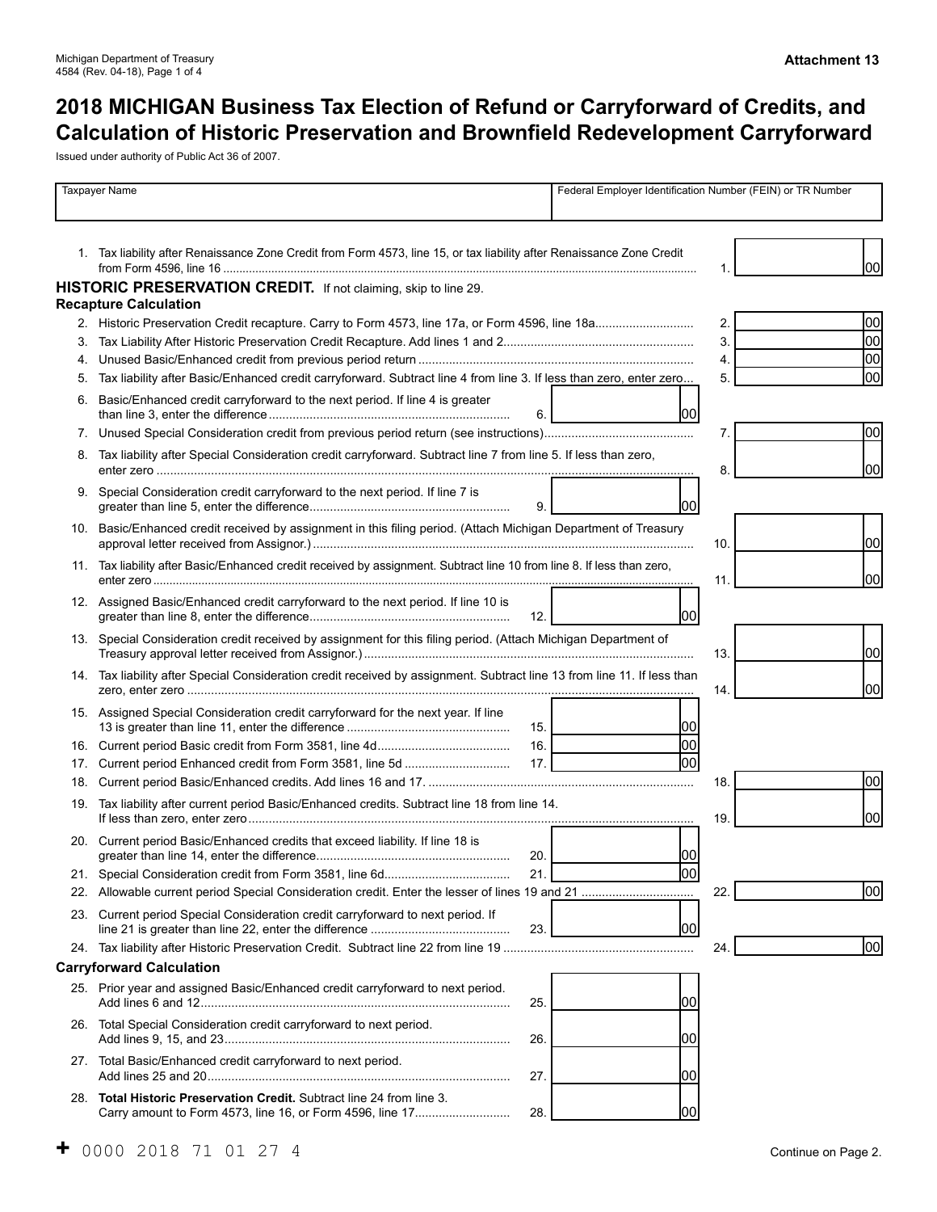# **2018 MICHIGAN Business Tax Election of Refund or Carryforward of Credits, and Calculation of Historic Preservation and Brownfield Redevelopment Carryforward**

Issued under authority of Public Act 36 of 2007.

|     | <b>Taxpayer Name</b>                                                                                                               |      | Federal Employer Identification Number (FEIN) or TR Number |                 |  |      |
|-----|------------------------------------------------------------------------------------------------------------------------------------|------|------------------------------------------------------------|-----------------|--|------|
|     | 1. Tax liability after Renaissance Zone Credit from Form 4573, line 15, or tax liability after Renaissance Zone Credit             |      |                                                            |                 |  | 100I |
|     | HISTORIC PRESERVATION CREDIT. If not claiming, skip to line 29.                                                                    |      |                                                            |                 |  |      |
|     | <b>Recapture Calculation</b>                                                                                                       |      |                                                            |                 |  |      |
|     |                                                                                                                                    |      |                                                            | 2.              |  | 00   |
|     |                                                                                                                                    |      |                                                            | 3.              |  | lool |
| 4.  |                                                                                                                                    |      |                                                            | 4.              |  | 00   |
| 5.  | Tax liability after Basic/Enhanced credit carryforward. Subtract line 4 from line 3. If less than zero, enter zero                 |      |                                                            | 5.              |  | 00   |
| 6.  | Basic/Enhanced credit carryforward to the next period. If line 4 is greater                                                        | 6.   | <b>lool</b>                                                |                 |  |      |
| 7.  |                                                                                                                                    |      |                                                            | 7.              |  | 00   |
| 8.  | Tax liability after Special Consideration credit carryforward. Subtract line 7 from line 5. If less than zero,                     |      |                                                            | 8               |  | lool |
|     | 9. Special Consideration credit carryforward to the next period. If line 7 is                                                      | 9.   | 1001                                                       |                 |  |      |
|     | 10. Basic/Enhanced credit received by assignment in this filing period. (Attach Michigan Department of Treasury                    |      |                                                            | 10 <sub>1</sub> |  | lool |
|     | 11. Tax liability after Basic/Enhanced credit received by assignment. Subtract line 10 from line 8. If less than zero,             |      |                                                            | 11              |  | lool |
|     | 12. Assigned Basic/Enhanced credit carryforward to the next period. If line 10 is                                                  | 12.1 | <b>lool</b>                                                |                 |  |      |
|     | 13. Special Consideration credit received by assignment for this filing period. (Attach Michigan Department of                     |      |                                                            | 13.             |  | lool |
|     | 14. Tax liability after Special Consideration credit received by assignment. Subtract line 13 from line 11. If less than           |      |                                                            | 14.             |  | lool |
|     | 15. Assigned Special Consideration credit carryforward for the next year. If line                                                  | 15.1 | 100                                                        |                 |  |      |
|     |                                                                                                                                    | 16.  | 100                                                        |                 |  |      |
| 17. |                                                                                                                                    | 17.  | lool                                                       |                 |  |      |
| 18. |                                                                                                                                    |      |                                                            | 18.             |  | 00   |
|     | 19. Tax liability after current period Basic/Enhanced credits. Subtract line 18 from line 14.                                      |      |                                                            | 19.             |  | 100I |
|     | 20. Current period Basic/Enhanced credits that exceed liability. If line 18 is                                                     | 20.  | 100                                                        |                 |  |      |
|     |                                                                                                                                    | 21.  | 00                                                         |                 |  |      |
|     |                                                                                                                                    |      |                                                            | 22.             |  | 100  |
| 23. | Current period Special Consideration credit carryforward to next period. If                                                        | 23.  | 1001                                                       |                 |  |      |
|     |                                                                                                                                    |      |                                                            | 24.             |  | 1001 |
|     | <b>Carryforward Calculation</b>                                                                                                    |      |                                                            |                 |  |      |
|     | 25. Prior year and assigned Basic/Enhanced credit carryforward to next period.                                                     | 25.  | 100                                                        |                 |  |      |
|     | 26. Total Special Consideration credit carryforward to next period.                                                                | 26.  | 00                                                         |                 |  |      |
|     | 27. Total Basic/Enhanced credit carryforward to next period.                                                                       | 27.  | 1001                                                       |                 |  |      |
|     | 28. Total Historic Preservation Credit. Subtract line 24 from line 3.<br>Carry amount to Form 4573, line 16, or Form 4596, line 17 | 28.  | 00                                                         |                 |  |      |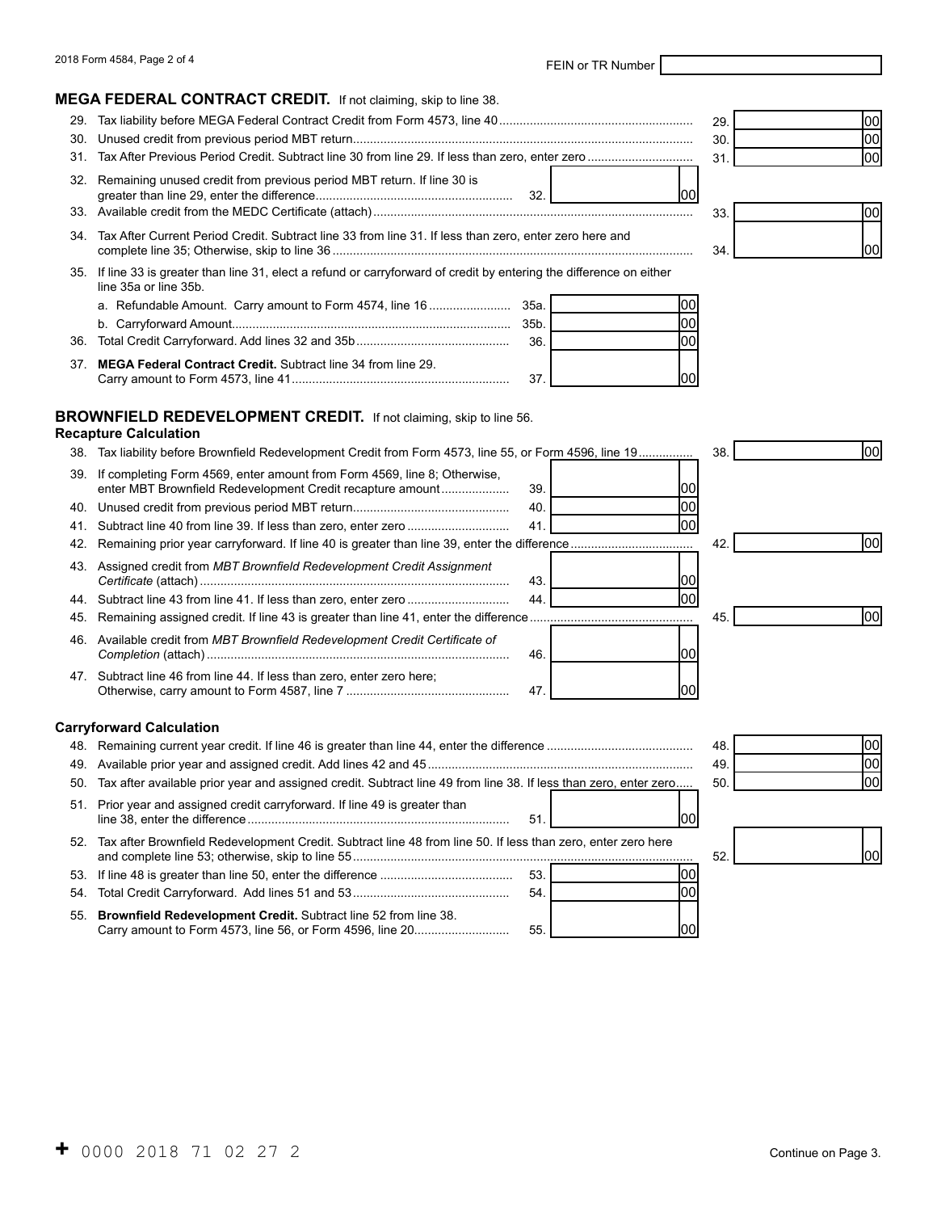#### **MEGA FEDERAL CONTRACT CREDIT.** If not claiming, skip to line 38.

|     |                                                                                                                                                | 29. | 1001 |
|-----|------------------------------------------------------------------------------------------------------------------------------------------------|-----|------|
| 30. |                                                                                                                                                | 30. | 1001 |
| 31. |                                                                                                                                                | 31  | lool |
|     | 32. Remaining unused credit from previous period MBT return. If line 30 is<br>32.<br>ЮU                                                        |     |      |
|     |                                                                                                                                                | 33  | 100I |
| 34. | Tax After Current Period Credit. Subtract line 33 from line 31. If less than zero, enter zero here and                                         | 34. | 1001 |
|     | 35. If line 33 is greater than line 31, elect a refund or carryforward of credit by entering the difference on either<br>line 35a or line 35b. |     |      |
|     | 35a.<br>a. Refundable Amount. Carry amount to Form 4574, line 16                                                                               |     |      |
|     | 35b.<br>100                                                                                                                                    |     |      |
| 36. | 36.<br>100                                                                                                                                     |     |      |
| 37. | <b>MEGA Federal Contract Credit.</b> Subtract line 34 from line 29.<br>37                                                                      |     |      |

#### **BROWNFIELD REDEVELOPMENT CREDIT.** If not claiming, skip to line 56.

#### **Recapture Calculation**

| 38. | Tax liability before Brownfield Redevelopment Credit from Form 4573, line 55, or Form 4596, line 19                                    |            | 38. | 00   |
|-----|----------------------------------------------------------------------------------------------------------------------------------------|------------|-----|------|
| 39. | If completing Form 4569, enter amount from Form 4569, line 8; Otherwise,<br>enter MBT Brownfield Redevelopment Credit recapture amount | 39.<br>ЮC  |     |      |
| 40. |                                                                                                                                        | 100<br>40. |     |      |
| 41. |                                                                                                                                        | lool<br>41 |     |      |
| 42. |                                                                                                                                        |            | 42  | 00   |
| 43. | Assigned credit from MBT Brownfield Redevelopment Credit Assignment                                                                    | 43.<br>ЮC  |     |      |
| 44. |                                                                                                                                        | 00 <br>44  |     |      |
| 45. |                                                                                                                                        |            | 45. | 100l |
| 46. | Available credit from MBT Brownfield Redevelopment Credit Certificate of                                                               | 46.<br>100 |     |      |
|     | 47. Subtract line 46 from line 44. If less than zero, enter zero here;                                                                 | 47<br>იი   |     |      |
|     | <b>Carryforward Calculation</b>                                                                                                        |            |     |      |
|     |                                                                                                                                        |            | 48. | 00   |
| 49. |                                                                                                                                        |            | 49. | lool |
| 50. | Tax after available prior year and assigned credit. Subtract line 49 from line 38. If less than zero, enter zero                       |            | 50. | lool |
|     | 51. Prior year and assigned credit carryforward. If line 49 is greater than                                                            | 51<br>100  |     |      |
|     | 52. Tax after Brownfield Redevelopment Credit. Subtract line 48 from line 50. If less than zero, enter zero here                       |            | 52. | 00   |
|     |                                                                                                                                        | lool       |     |      |

54. Total Credit Carryforward. Add lines 51 and 53.............................................. 54. 55. **Brownfield Redevelopment Credit.** Subtract line 52 from line 38. Carry amount to Form 4573, line 56, or Form 4596, line 20............................ 55. 00

00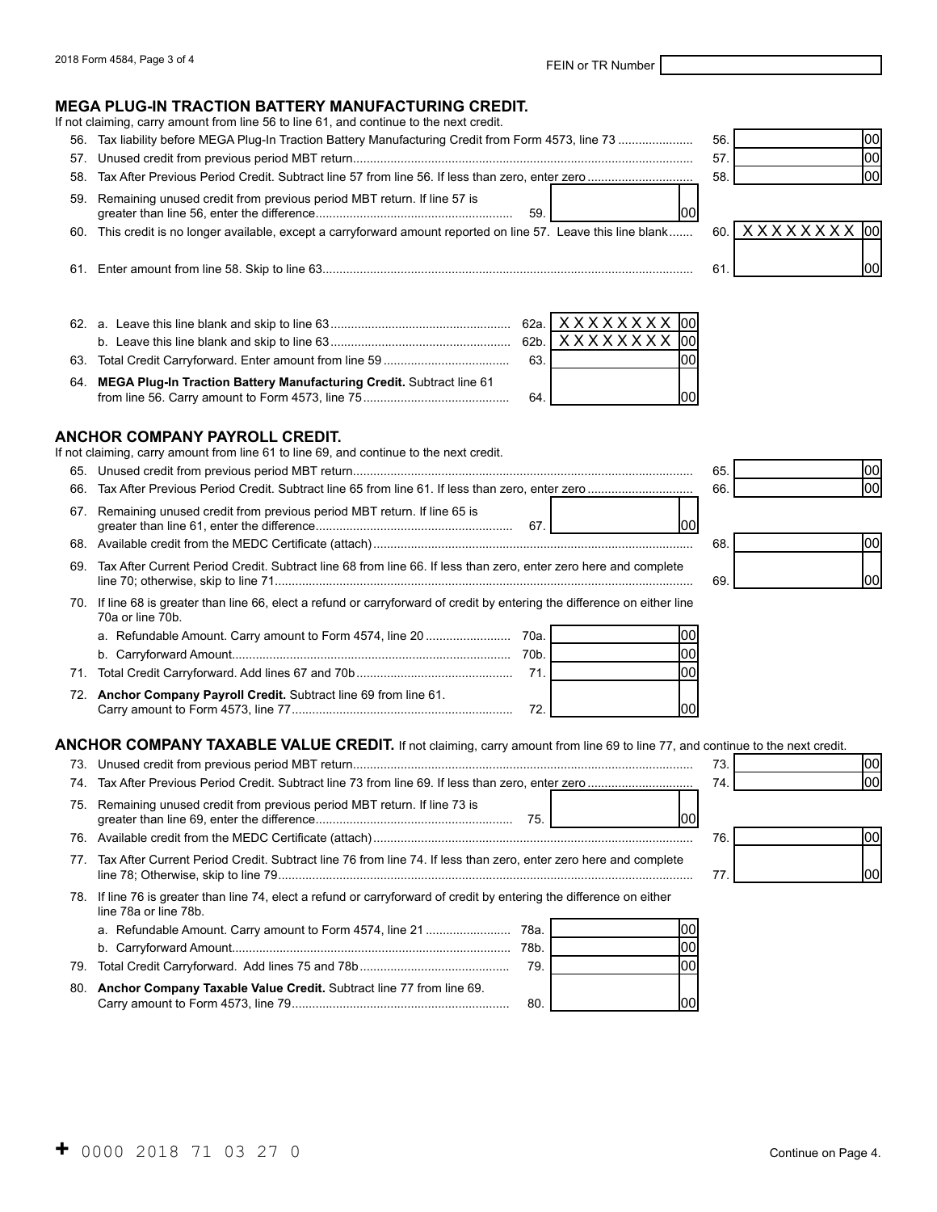#### **MEGA PLUG-IN TRACTION BATTERY MANUFACTURING CREDIT.**

If not claiming, carry amount from line 56 to line 61, and continue to the next credit.

- 56. Tax liability before MEGA Plug-In Traction Battery Manufacturing Credit from Form 4573, line 73 ...................... 56.
- 57. Unused credit from previous period MBT return.................................................................................................... 57.
- 58. Tax After Previous Period Credit. Subtract line 57 from line 56. If less than zero, enter zero ............................... 58.
- 59. Remaining unused credit from previous period MBT return. If line 57 is greater than line 56, enter the difference.......................................................... 59. 00

60. This credit is no longer available, except a carryforward amount reported on line 57. Leave this line blank....... 60.

| 61 | Skip<br>line 58. \<br>nount from | line<br>- |  |
|----|----------------------------------|-----------|--|
|    |                                  |           |  |

62. a. Leave this line blank and skip to line 63..................................................... 62a. b. Leave this line blank and skip to line 63..................................................... 62b. 63. Total Credit Carryforward. Enter amount from line 59 ..................................... 63. 64. **MEGA Plug-In Traction Battery Manufacturing Credit.** Subtract line 61 from line 56. Carry amount to Form 4573, line 75........................................... 64. X X X X X X X loo X X X X X X X X 00 00 no

#### **ANCHOR COMPANY PAYROLL CREDIT.**

|  |  |  | If not claiming, carry amount from line 61 to line 69, and continue to the next credit. |  |
|--|--|--|-----------------------------------------------------------------------------------------|--|
|  |  |  |                                                                                         |  |

- 65. Unused credit from previous period MBT return.................................................................................................... 65.
- 66. Tax After Previous Period Credit. Subtract line 65 from line 61. If less than zero, enter zero .......
- 67. Remaining unused credit from previous period MBT return. If line 65 is greater than line 61, enter the difference.......................................................... 67. 00
- 68. Available credit from the MEDC Certificate (attach).............................................................................................. 68.
- 69. Tax After Current Period Credit. Subtract line 68 from line 66. If less than zero, enter zero here and complete line 70; otherwise, skip to line 71........................................................................................................................... 69.
- 70. If line 68 is greater than line 66, elect a refund or carryforward of credit by entering the difference on either line 70a or line 70b. a. Refundable Amount. Carry amount to Form 4574, line 20 ......................... 70a. 00
- b. Carryforward Amount.................................................................................. 70b. 71. Total Credit Carryforward. Add lines 67 and 70b.............................................. 71. 72. **Anchor Company Payroll Credit.** Subtract line 69 from line 61. Carry amount to Form 4573, line 77................................................................. 72. 00 00 00

#### **ANCHOR COMPANY TAXABLE VALUE CREDIT.** If not claiming, carry amount from line 69 to line 77, and continue to the next credit.

|     |                                                                                                                                               |          |     | 73. |
|-----|-----------------------------------------------------------------------------------------------------------------------------------------------|----------|-----|-----|
|     |                                                                                                                                               |          |     | 74. |
|     | 75. Remaining unused credit from previous period MBT return. If line 73 is                                                                    | 75.      |     | 76. |
|     |                                                                                                                                               |          |     |     |
| 77  | Tax After Current Period Credit. Subtract line 76 from line 74. If less than zero, enter zero here and complete                               |          |     | 77  |
|     | 78. If line 76 is greater than line 74, elect a refund or carryforward of credit by entering the difference on either<br>line 78a or line 78b |          |     |     |
|     | a. Refundable Amount. Carry amount to Form 4574, line 21                                                                                      | - 78a. l |     |     |
|     |                                                                                                                                               | 78b.     | 100 |     |
| 79. |                                                                                                                                               | 79.      | 100 |     |
| 80. | Anchor Company Taxable Value Credit. Subtract line 77 from line 69.                                                                           | 80.      |     |     |

| 56. | lool |
|-----|------|
| 57. | lool |
| 58. | lool |



| 65.<br>66. | $\frac{100}{100}$ |  |
|------------|-------------------|--|
|            |                   |  |
|            |                   |  |
| 68.        | 00                |  |
|            |                   |  |
| 69.        | 00                |  |
|            |                   |  |

- I

 $\overline{\phantom{a}}$ 

| 73. |  |
|-----|--|
| 74. |  |
|     |  |

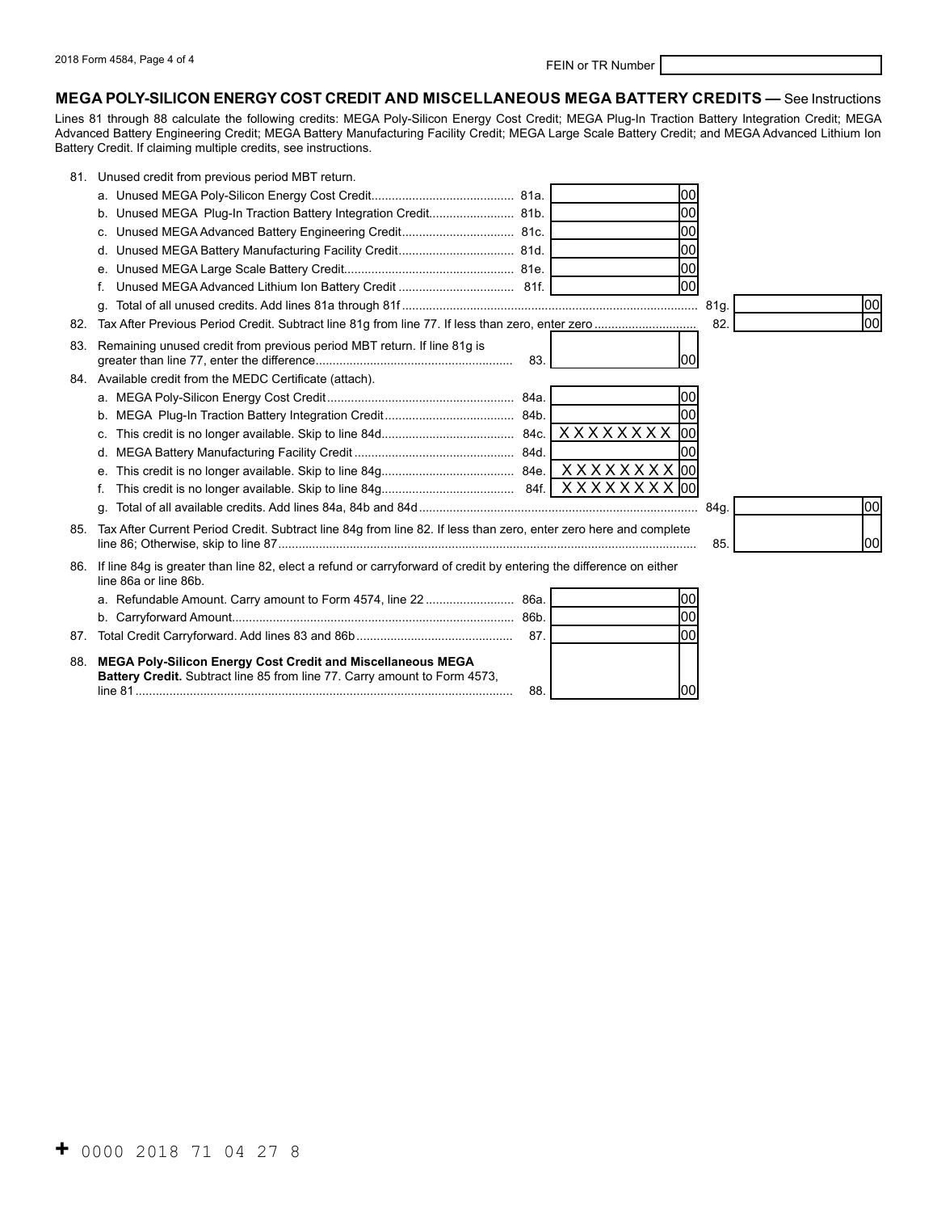#### **MEGA POLY-SILICON ENERGY COST CREDIT AND MISCELLANEOUS MEGA BATTERY CREDITS —** See Instructions

Lines 81 through 88 calculate the following credits: MEGA Poly-Silicon Energy Cost Credit; MEGA Plug-In Traction Battery Integration Credit; MEGA Advanced Battery Engineering Credit; MEGA Battery Manufacturing Facility Credit; MEGA Large Scale Battery Credit; and MEGA Advanced Lithium Ion Battery Credit. If claiming multiple credits, see instructions.

| 81. | Unused credit from previous period MBT return.                                                                                              |     |      |             |
|-----|---------------------------------------------------------------------------------------------------------------------------------------------|-----|------|-------------|
|     |                                                                                                                                             |     | 00   |             |
|     | b. Unused MEGA Plug-In Traction Battery Integration Credit 81b.                                                                             |     | loo  |             |
|     | c. Unused MEGA Advanced Battery Engineering Credit 81c.                                                                                     |     | 00   |             |
|     |                                                                                                                                             |     | 00   |             |
|     |                                                                                                                                             |     | lool |             |
|     | f.                                                                                                                                          |     | lool |             |
|     | α.                                                                                                                                          |     |      | 00          |
| 82. |                                                                                                                                             |     |      | lool<br>82. |
| 83. | Remaining unused credit from previous period MBT return. If line 81g is                                                                     | 83. | 100l |             |
|     | 84. Available credit from the MEDC Certificate (attach).                                                                                    |     |      |             |
|     |                                                                                                                                             |     | 100  |             |
|     |                                                                                                                                             |     | lool |             |
|     | C.                                                                                                                                          |     | 00   |             |
|     | d.                                                                                                                                          |     | 100  |             |
|     | e.                                                                                                                                          |     |      |             |
|     |                                                                                                                                             |     |      |             |
|     | α.                                                                                                                                          |     |      | lool        |
| 85. | Tax After Current Period Credit. Subtract line 84g from line 82. If less than zero, enter zero here and complete                            |     |      | 100l<br>85. |
| 86. | If line 84g is greater than line 82, elect a refund or carryforward of credit by entering the difference on either<br>line 86a or line 86b. |     |      |             |
|     |                                                                                                                                             |     | 100  |             |
|     |                                                                                                                                             |     | 00   |             |
| 87. |                                                                                                                                             | 87. | lool |             |
| 88. | MEGA Poly-Silicon Energy Cost Credit and Miscellaneous MEGA<br>Battery Credit. Subtract line 85 from line 77. Carry amount to Form 4573,    | 88. | 100  |             |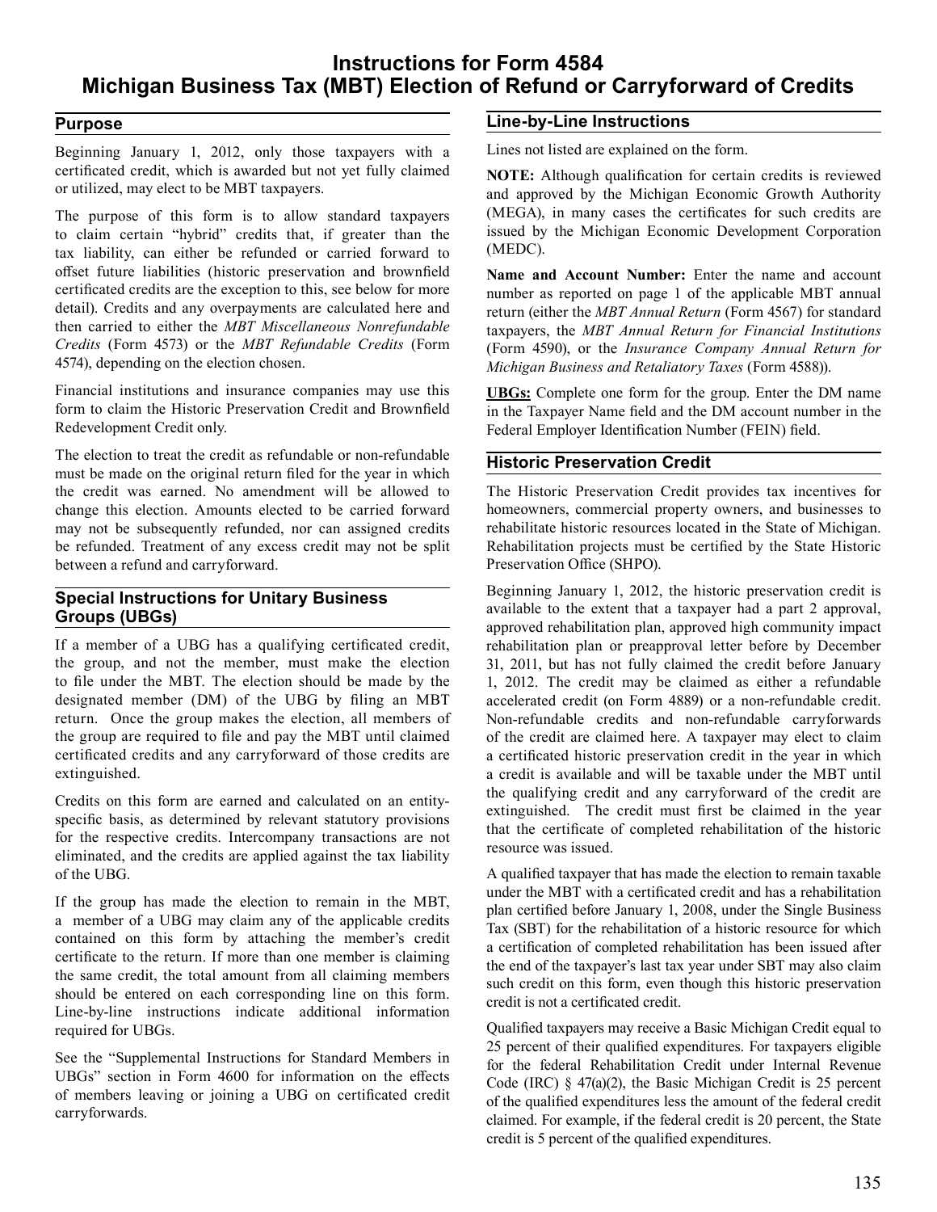# **Instructions for Form 4584 Michigan Business Tax (MBT) Election of Refund or Carryforward of Credits**

## **Purpose**

 Beginning January 1, 2012, only those taxpayers with a certificated credit, which is awarded but not yet fully claimed or utilized, may elect to be MBT taxpayers.

 The purpose of this form is to allow standard taxpayers to claim certain "hybrid" credits that, if greater than the tax liability, can either be refunded or carried forward to offset future liabilities (historic preservation and brownfield certificated credits are the exception to this, see below for more detail). Credits and any overpayments are calculated here and then carried to either the *MBT Miscellaneous Nonrefundable Credits* (Form 4573) or the *MBT Refundable Credits* (Form 4574), depending on the election chosen.

 Financial institutions and insurance companies may use this form to claim the Historic Preservation Credit and Brownfield Redevelopment Credit only.

 The election to treat the credit as refundable or non-refundable must be made on the original return filed for the year in which the credit was earned. No amendment will be allowed to change this election. Amounts elected to be carried forward may not be subsequently refunded, nor can assigned credits be refunded. Treatment of any excess credit may not be split between a refund and carryforward.

## **Special Instructions for Unitary Business Groups (UBGs)**

 If a member of a UBG has a qualifying certificated credit, the group, and not the member, must make the election to file under the MBT. The election should be made by the designated member (DM) of the UBG by filing an MBT return. Once the group makes the election, all members of the group are required to file and pay the MBT until claimed certificated credits and any carryforward of those credits are extinguished.

 Credits on this form are earned and calculated on an entity- specific basis, as determined by relevant statutory provisions for the respective credits. Intercompany transactions are not eliminated, and the credits are applied against the tax liability of the UBG.

 If the group has made the election to remain in the MBT, a member of a UBG may claim any of the applicable credits contained on this form by attaching the member's credit certificate to the return. If more than one member is claiming the same credit, the total amount from all claiming members should be entered on each corresponding line on this form. Line-by-line instructions indicate additional information required for UBGs.

 See the "Supplemental Instructions for Standard Members in UBGs" section in Form 4600 for information on the effects of members leaving or joining a UBG on certificated credit carryforwards.

### **Line-by-Line Instructions**

 Lines not listed are explained on the form.

 **NOTE:** Although qualification for certain credits is reviewed and approved by the Michigan Economic Growth Authority (MEGA), in many cases the certificates for such credits are issued by the Michigan Economic Development Corporation (MEDC).

 **Name and Account Number:** Enter the name and account number as reported on page 1 of the applicable MBT annual return (either the *MBT Annual Return* (Form 4567) for standard taxpayers, the *MBT Annual Return for Financial Institutions*  (Form 4590), or the *Insurance Company Annual Return for Michigan Business and Retaliatory Taxes* (Form 4588)).

 **UBGs:** Complete one form for the group. Enter the DM name in the Taxpayer Name field and the DM account number in the Federal Employer Identification Number (FEIN) field.

### **Historic Preservation Credit**

 The Historic Preservation Credit provides tax incentives for homeowners, commercial property owners, and businesses to rehabilitate historic resources located in the State of Michigan. Rehabilitation projects must be certified by the State Historic Preservation Office (SHPO).

 Beginning January 1, 2012, the historic preservation credit is available to the extent that a taxpayer had a part 2 approval, approved rehabilitation plan, approved high community impact rehabilitation plan or preapproval letter before by December 31, 2011, but has not fully claimed the credit before January 1, 2012. The credit may be claimed as either a refundable accelerated credit (on Form 4889) or a non-refundable credit. Non-refundable credits and non-refundable carryforwards of the credit are claimed here. A taxpayer may elect to claim a certificated historic preservation credit in the year in which a credit is available and will be taxable under the MBT until the qualifying credit and any carryforward of the credit are extinguished. The credit must first be claimed in the year that the certificate of completed rehabilitation of the historic resource was issued.

 A qualified taxpayer that has made the election to remain taxable under the MBT with a certificated credit and has a rehabilitation plan certified before January 1, 2008, under the Single Business Tax (SBT) for the rehabilitation of a historic resource for which a certification of completed rehabilitation has been issued after the end of the taxpayer's last tax year under SBT may also claim such credit on this form, even though this historic preservation credit is not a certificated credit.

 Qualified taxpayers may receive a Basic Michigan Credit equal to 25 percent of their qualified expenditures. For taxpayers eligible for the federal Rehabilitation Credit under Internal Revenue Code (IRC) § 47(a)(2), the Basic Michigan Credit is 25 percent of the qualified expenditures less the amount of the federal credit claimed. For example, if the federal credit is 20 percent, the State credit is 5 percent of the qualified expenditures.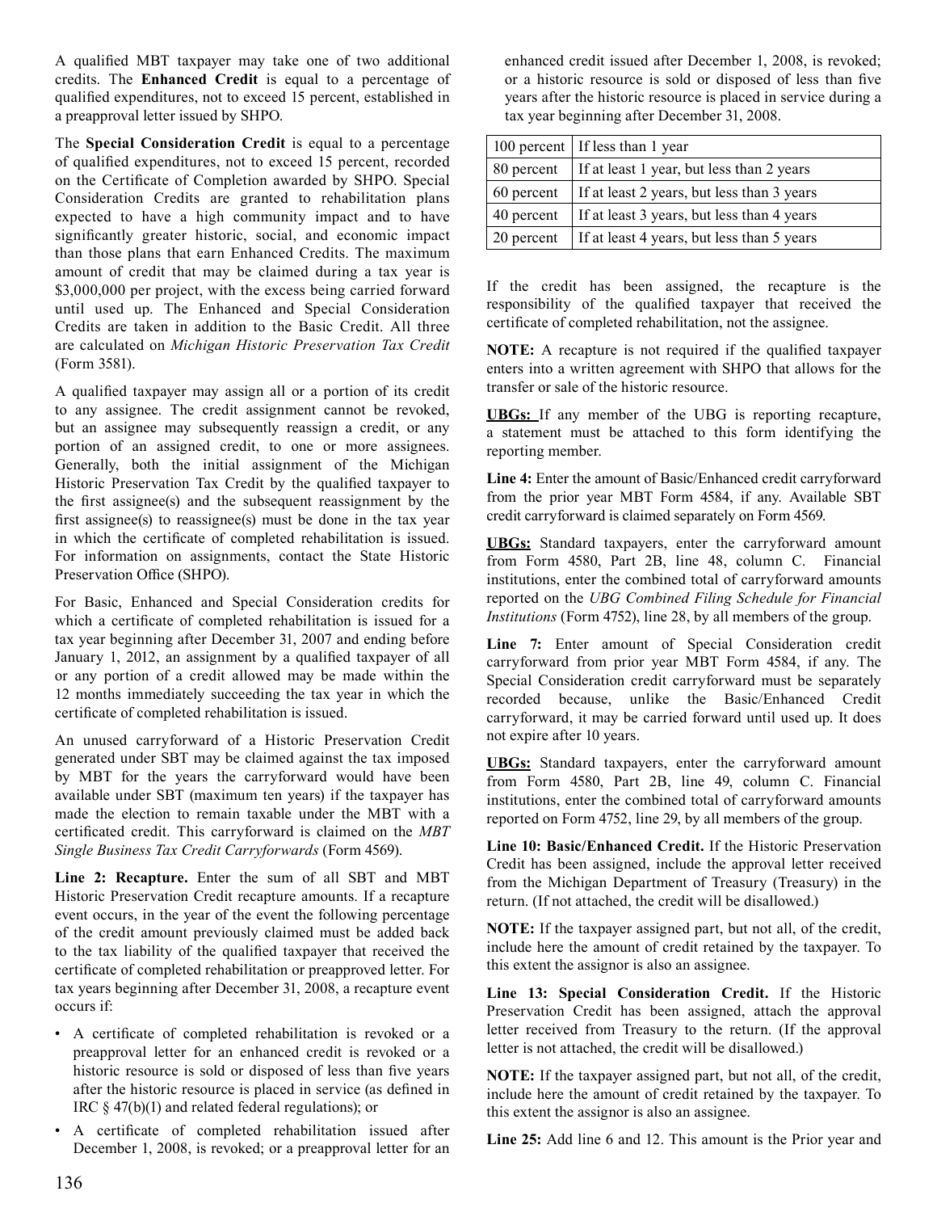A qualified MBT taxpayer may take one of two additional credits. The **Enhanced Credit** is equal to a percentage of qualified expenditures, not to exceed 15 percent, established in a preapproval letter issued by SHPO.

 The **Special Consideration Credit** is equal to a percentage of qualified expenditures, not to exceed 15 percent, recorded on the Certificate of Completion awarded by SHPO. Special Consideration Credits are granted to rehabilitation plans expected to have a high community impact and to have significantly greater historic, social, and economic impact than those plans that earn Enhanced Credits. The maximum amount of credit that may be claimed during a tax year is \$3,000,000 per project, with the excess being carried forward until used up. The Enhanced and Special Consideration Credits are taken in addition to the Basic Credit. All three are calculated on *Michigan Historic Preservation Tax Credit* (Form 3581).

 A qualified taxpayer may assign all or a portion of its credit to any assignee. The credit assignment cannot be revoked, but an assignee may subsequently reassign a credit, or any portion of an assigned credit, to one or more assignees. Generally, both the initial assignment of the Michigan Historic Preservation Tax Credit by the qualified taxpayer to the first assignee(s) and the subsequent reassignment by the first assignee(s) to reassignee(s) must be done in the tax year in which the certificate of completed rehabilitation is issued. For information on assignments, contact the State Historic Preservation Office (SHPO).

 For Basic, Enhanced and Special Consideration credits for which a certificate of completed rehabilitation is issued for a tax year beginning after December 31, 2007 and ending before January 1, 2012, an assignment by a qualified taxpayer of all or any portion of a credit allowed may be made within the 12 months immediately succeeding the tax year in which the certificate of completed rehabilitation is issued.

 An unused carryforward of a Historic Preservation Credit generated under SBT may be claimed against the tax imposed by MBT for the years the carryforward would have been available under SBT (maximum ten years) if the taxpayer has made the election to remain taxable under the MBT with a certificated credit. This carryforward is claimed on the *MBT Single Business Tax Credit Carryforwards* (Form 4569).

 **Line 2: Recapture.** Enter the sum of all SBT and MBT Historic Preservation Credit recapture amounts. If a recapture event occurs, in the year of the event the following percentage of the credit amount previously claimed must be added back to the tax liability of the qualified taxpayer that received the certificate of completed rehabilitation or preapproved letter. For tax years beginning after December 31, 2008, a recapture event occurs if:

- A certificate of completed rehabilitation is revoked or a preapproval letter for an enhanced credit is revoked or a historic resource is sold or disposed of less than five years after the historic resource is placed in service (as defined in IRC § 47(b)(1) and related federal regulations); or
- A certificate of completed rehabilitation issued after December 1, 2008, is revoked; or a preapproval letter for an

 enhanced credit issued after December 1, 2008, is revoked; or a historic resource is sold or disposed of less than five years after the historic resource is placed in service during a tax year beginning after December 31, 2008.

|              | 100 percent   If less than 1 year          |
|--------------|--------------------------------------------|
| 80 percent   | If at least 1 year, but less than 2 years  |
| $60$ percent | If at least 2 years, but less than 3 years |
| 40 percent   | If at least 3 years, but less than 4 years |
| 20 percent   | If at least 4 years, but less than 5 years |

 If the credit has been assigned, the recapture is the responsibility of the qualified taxpayer that received the certificate of completed rehabilitation, not the assignee.

 **NOTE:** A recapture is not required if the qualified taxpayer enters into a written agreement with SHPO that allows for the transfer or sale of the historic resource.

 **UBGs:** If any member of the UBG is reporting recapture, a statement must be attached to this form identifying the reporting member.

 **Line 4:** Enter the amount of Basic/Enhanced credit carryforward from the prior year MBT Form 4584, if any. Available SBT credit carryforward is claimed separately on Form 4569.

 **UBGs:** Standard taxpayers, enter the carryforward amount from Form 4580, Part 2B, line 48, column C. Financial institutions, enter the combined total of carryforward amounts reported on the *UBG Combined Filing Schedule for Financial Institutions* (Form 4752), line 28, by all members of the group.

 **Line 7:** Enter amount of Special Consideration credit carryforward from prior year MBT Form 4584, if any. The Special Consideration credit carryforward must be separately recorded because, unlike the Basic/Enhanced Credit carryforward, it may be carried forward until used up. It does not expire after 10 years.

 **UBGs:** Standard taxpayers, enter the carryforward amount from Form 4580, Part 2B, line 49, column C. Financial institutions, enter the combined total of carryforward amounts reported on Form 4752, line 29, by all members of the group.

 **Line 10: Basic/Enhanced Credit.** If the Historic Preservation Credit has been assigned, include the approval letter received from the Michigan Department of Treasury (Treasury) in the return. (If not attached, the credit will be disallowed.)

 **NOTE:** If the taxpayer assigned part, but not all, of the credit, include here the amount of credit retained by the taxpayer. To this extent the assignor is also an assignee.

 **Line 13: Special Consideration Credit.** If the Historic Preservation Credit has been assigned, attach the approval letter received from Treasury to the return. (If the approval letter is not attached, the credit will be disallowed.)

 **NOTE:** If the taxpayer assigned part, but not all, of the credit, include here the amount of credit retained by the taxpayer. To this extent the assignor is also an assignee.

 **Line 25:** Add line 6 and 12. This amount is the Prior year and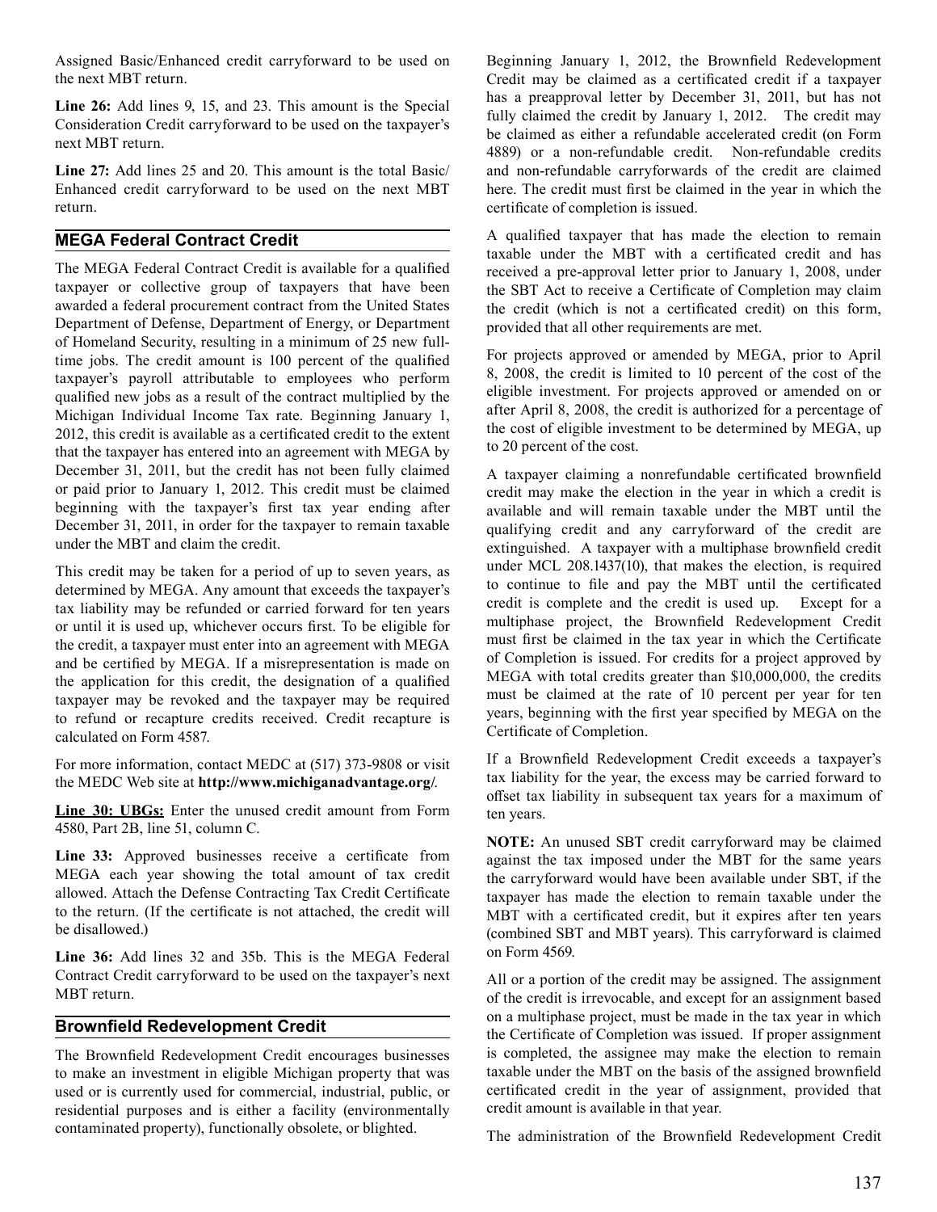Assigned Basic/Enhanced credit carryforward to be used on the next MBT return.

 **Line 26:** Add lines 9, 15, and 23. This amount is the Special Consideration Credit carryforward to be used on the taxpayer's next MBT return.

 **Line 27:** Add lines 25 and 20. This amount is the total Basic/ Enhanced credit carryforward to be used on the next MBT return.

## **MEGA Federal Contract Credit**

 The MEGA Federal Contract Credit is available for a qualified taxpayer or collective group of taxpayers that have been awarded a federal procurement contract from the United States Department of Defense, Department of Energy, or Department of Homeland Security, resulting in a minimum of 25 new full- time jobs. The credit amount is 100 percent of the qualified taxpayer's payroll attributable to employees who perform qualified new jobs as a result of the contract multiplied by the Michigan Individual Income Tax rate. Beginning January 1, 2012, this credit is available as a certificated credit to the extent that the taxpayer has entered into an agreement with MEGA by December 31, 2011, but the credit has not been fully claimed or paid prior to January 1, 2012. This credit must be claimed beginning with the taxpayer's first tax year ending after December 31, 2011, in order for the taxpayer to remain taxable under the MBT and claim the credit.

 This credit may be taken for a period of up to seven years, as determined by MEGA. Any amount that exceeds the taxpayer's tax liability may be refunded or carried forward for ten years or until it is used up, whichever occurs first. To be eligible for the credit, a taxpayer must enter into an agreement with MEGA and be certified by MEGA. If a misrepresentation is made on the application for this credit, the designation of a qualified taxpayer may be revoked and the taxpayer may be required to refund or recapture credits received. Credit recapture is calculated on Form 4587.

 For more information, contact MEDC at (517) 373-9808 or visit the MEDC Web site at **http://www.michiganadvantage.org/**.

 **Line 30: UBGs:** Enter the unused credit amount from Form 4580, Part 2B, line 51, column C.

 **Line 33:** Approved businesses receive a certificate from MEGA each year showing the total amount of tax credit allowed. Attach the Defense Contracting Tax Credit Certificate to the return. (If the certificate is not attached, the credit will be disallowed.)

 **Line 36:** Add lines 32 and 35b. This is the MEGA Federal Contract Credit carryforward to be used on the taxpayer's next MBT return.

# **Brownfield Redevelopment Credit**

 The Brownfield Redevelopment Credit encourages businesses to make an investment in eligible Michigan property that was used or is currently used for commercial, industrial, public, or residential purposes and is either a facility (environmentally contaminated property), functionally obsolete, or blighted.

 Beginning January 1, 2012, the Brownfield Redevelopment Credit may be claimed as a certificated credit if a taxpayer has a preapproval letter by December 31, 2011, but has not fully claimed the credit by January 1, 2012. The credit may be claimed as either a refundable accelerated credit (on Form 4889) or a non-refundable credit. Non-refundable credits and non-refundable carryforwards of the credit are claimed here. The credit must first be claimed in the year in which the certificate of completion is issued.

 A qualified taxpayer that has made the election to remain taxable under the MBT with a certificated credit and has received a pre-approval letter prior to January 1, 2008, under the SBT Act to receive a Certificate of Completion may claim provided that all other requirements are met. the credit (which is not a certificated credit) on this form,

 For projects approved or amended by MEGA, prior to April 8, 2008, the credit is limited to 10 percent of the cost of the eligible investment. For projects approved or amended on or after April 8, 2008, the credit is authorized for a percentage of the cost of eligible investment to be determined by MEGA, up to 20 percent of the cost.

 A taxpayer claiming a nonrefundable certificated brownfield credit may make the election in the year in which a credit is available and will remain taxable under the MBT until the qualifying credit and any carryforward of the credit are extinguished. A taxpayer with a multiphase brownfield credit under MCL 208.1437(10), that makes the election, is required to continue to file and pay the MBT until the certificated credit is complete and the credit is used up. Except for a multiphase project, the Brownfield Redevelopment Credit must first be claimed in the tax year in which the Certificate of Completion is issued. For credits for a project approved by MEGA with total credits greater than \$10,000,000, the credits must be claimed at the rate of 10 percent per year for ten years, beginning with the first year specified by MEGA on the Certificate of Completion.

 If a Brownfield Redevelopment Credit exceeds a taxpayer's tax liability for the year, the excess may be carried forward to offset tax liability in subsequent tax years for a maximum of ten years.

 **NOTE:** An unused SBT credit carryforward may be claimed against the tax imposed under the MBT for the same years the carryforward would have been available under SBT, if the taxpayer has made the election to remain taxable under the MBT with a certificated credit, but it expires after ten years (combined SBT and MBT years). This carryforward is claimed on Form 4569.

 All or a portion of the credit may be assigned. The assignment of the credit is irrevocable, and except for an assignment based on a multiphase project, must be made in the tax year in which the Certificate of Completion was issued. If proper assignment is completed, the assignee may make the election to remain taxable under the MBT on the basis of the assigned brownfield certificated credit in the year of assignment, provided that credit amount is available in that year.

 The administration of the Brownfield Redevelopment Credit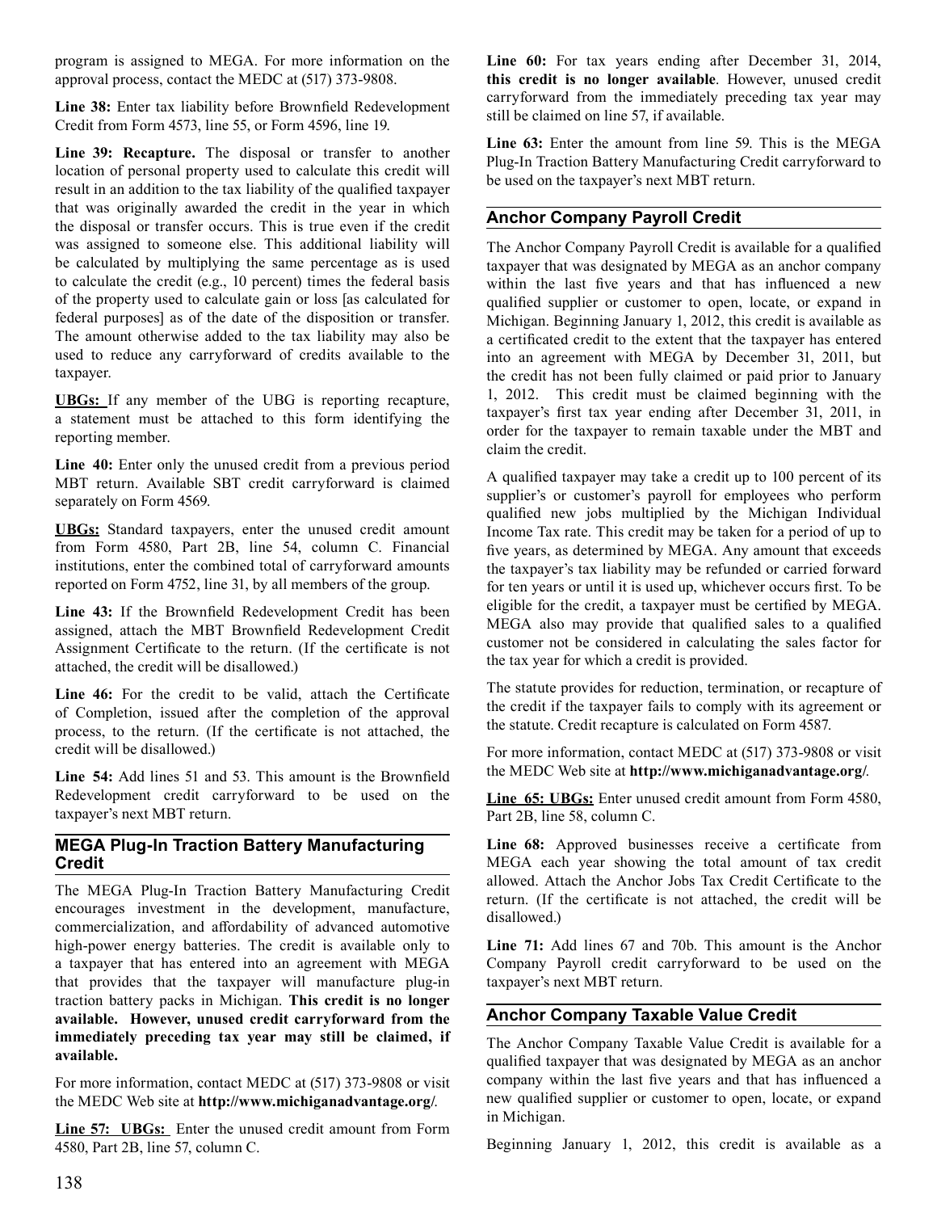program is assigned to MEGA. For more information on the approval process, contact the MEDC at (517) 373-9808.

 **Line 38:** Enter tax liability before Brownfield Redevelopment Credit from Form 4573, line 55, or Form 4596, line 19.

 **Line 39: Recapture.** The disposal or transfer to another location of personal property used to calculate this credit will result in an addition to the tax liability of the qualified taxpayer that was originally awarded the credit in the year in which the disposal or transfer occurs. This is true even if the credit was assigned to someone else. This additional liability will be calculated by multiplying the same percentage as is used to calculate the credit (e.g., 10 percent) times the federal basis of the property used to calculate gain or loss [as calculated for federal purposes] as of the date of the disposition or transfer. The amount otherwise added to the tax liability may also be used to reduce any carryforward of credits available to the taxpayer.

 **UBGs:** If any member of the UBG is reporting recapture, a statement must be attached to this form identifying the reporting member.

 **Line 40:** Enter only the unused credit from a previous period MBT return. Available SBT credit carryforward is claimed separately on Form 4569.

 **UBGs:** Standard taxpayers, enter the unused credit amount from Form 4580, Part 2B, line 54, column C. Financial institutions, enter the combined total of carryforward amounts reported on Form 4752, line 31, by all members of the group.

 **Line 43:** If the Brownfield Redevelopment Credit has been assigned, attach the MBT Brownfield Redevelopment Credit Assignment Certificate to the return. (If the certificate is not attached, the credit will be disallowed.)

 **Line 46:** For the credit to be valid, attach the Certificate of Completion, issued after the completion of the approval process, to the return. (If the certificate is not attached, the credit will be disallowed.)

 **Line 54:** Add lines 51 and 53. This amount is the Brownfield Redevelopment credit carryforward to be used on the taxpayer's next MBT return.

## **MEGA Plug-In Traction Battery Manufacturing Credit**

 The MEGA Plug-In Traction Battery Manufacturing Credit encourages investment in the development, manufacture, commercialization, and affordability of advanced automotive high-power energy batteries. The credit is available only to a taxpayer that has entered into an agreement with MEGA that provides that the taxpayer will manufacture plug-in traction battery packs in Michigan. **This credit is no longer available. However, unused credit carryforward from the immediately preceding tax year may still be claimed, if available.** 

 For more information, contact MEDC at (517) 373-9808 or visit the MEDC Web site at **http://www.michiganadvantage.org/**.

 **Line 57: UBGs:** Enter the unused credit amount from Form 4580, Part 2B, line 57, column C.

 **Line 60:** For tax years ending after December 31, 2014, **this credit is no longer available**. However, unused credit carryforward from the immediately preceding tax year may still be claimed on line 57, if available.

 **Line 63:** Enter the amount from line 59. This is the MEGA Plug-In Traction Battery Manufacturing Credit carryforward to be used on the taxpayer's next MBT return.

# **Anchor Company Payroll Credit**

 The Anchor Company Payroll Credit is available for a qualified taxpayer that was designated by MEGA as an anchor company within the last five years and that has influenced a new qualified supplier or customer to open, locate, or expand in Michigan. Beginning January 1, 2012, this credit is available as a certificated credit to the extent that the taxpayer has entered into an agreement with MEGA by December 31, 2011, but the credit has not been fully claimed or paid prior to January 1, 2012. This credit must be claimed beginning with the taxpayer's first tax year ending after December 31, 2011, in order for the taxpayer to remain taxable under the MBT and claim the credit.

 A qualified taxpayer may take a credit up to 100 percent of its supplier's or customer's payroll for employees who perform qualified new jobs multiplied by the Michigan Individual Income Tax rate. This credit may be taken for a period of up to five years, as determined by MEGA. Any amount that exceeds the taxpayer's tax liability may be refunded or carried forward for ten years or until it is used up, whichever occurs first. To be eligible for the credit, a taxpayer must be certified by MEGA. MEGA also may provide that qualified sales to a qualified customer not be considered in calculating the sales factor for the tax year for which a credit is provided.

 The statute provides for reduction, termination, or recapture of the credit if the taxpayer fails to comply with its agreement or the statute. Credit recapture is calculated on Form 4587.

 For more information, contact MEDC at (517) 373-9808 or visit the MEDC Web site at **http://www.michiganadvantage.org/**.

 **Line 65: UBGs:** Enter unused credit amount from Form 4580, Part 2B, line 58, column C.

 **Line 68:** Approved businesses receive a certificate from MEGA each year showing the total amount of tax credit allowed. Attach the Anchor Jobs Tax Credit Certificate to the return. (If the certificate is not attached, the credit will be disallowed.)

 **Line 71:** Add lines 67 and 70b. This amount is the Anchor Company Payroll credit carryforward to be used on the taxpayer's next MBT return.

# **Anchor Company Taxable Value Credit**

 The Anchor Company Taxable Value Credit is available for a qualified taxpayer that was designated by MEGA as an anchor company within the last five years and that has influenced a new qualified supplier or customer to open, locate, or expand in Michigan.

 Beginning January 1, 2012, this credit is available as a